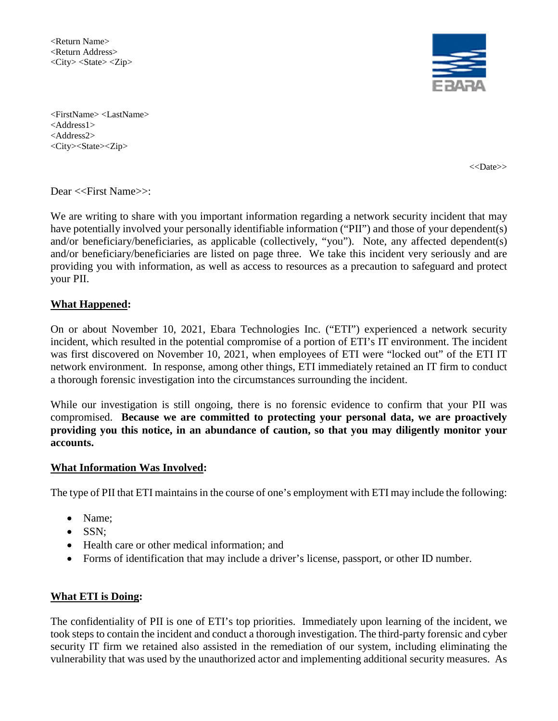<Return Name> <Return Address>  $\langle City \rangle$   $\langle State \rangle$   $\langle Zip \rangle$ 



<FirstName> <LastName> <Address1> <Address2> <City><State><Zip>

<<Date>>

Dear <<First Name>>:

We are writing to share with you important information regarding a network security incident that may have potentially involved your personally identifiable information ("PII") and those of your dependent(s) and/or beneficiary/beneficiaries, as applicable (collectively, "you"). Note, any affected dependent(s) and/or beneficiary/beneficiaries are listed on page three. We take this incident very seriously and are providing you with information, as well as access to resources as a precaution to safeguard and protect your PII.

## **What Happened:**

On or about November 10, 2021, Ebara Technologies Inc. ("ETI") experienced a network security incident, which resulted in the potential compromise of a portion of ETI's IT environment. The incident was first discovered on November 10, 2021, when employees of ETI were "locked out" of the ETI IT network environment. In response, among other things, ETI immediately retained an IT firm to conduct a thorough forensic investigation into the circumstances surrounding the incident.

While our investigation is still ongoing, there is no forensic evidence to confirm that your PII was compromised. **Because we are committed to protecting your personal data, we are proactively providing you this notice, in an abundance of caution, so that you may diligently monitor your accounts.** 

### **What Information Was Involved:**

The type of PII that ETI maintains in the course of one's employment with ETI may include the following:

- Name:
- $\bullet$  SSN:
- Health care or other medical information; and
- Forms of identification that may include a driver's license, passport, or other ID number.

### **What ETI is Doing:**

The confidentiality of PII is one of ETI's top priorities. Immediately upon learning of the incident, we took steps to contain the incident and conduct a thorough investigation. The third-party forensic and cyber security IT firm we retained also assisted in the remediation of our system, including eliminating the vulnerability that was used by the unauthorized actor and implementing additional security measures. As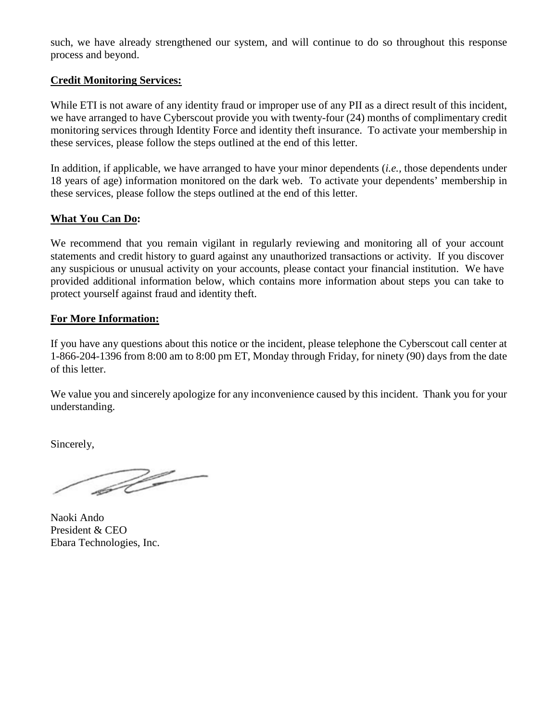such, we have already strengthened our system, and will continue to do so throughout this response process and beyond.

### **Credit Monitoring Services:**

While ETI is not aware of any identity fraud or improper use of any PII as a direct result of this incident, we have arranged to have Cyberscout provide you with twenty-four (24) months of complimentary credit monitoring services through Identity Force and identity theft insurance. To activate your membership in these services, please follow the steps outlined at the end of this letter.

In addition, if applicable, we have arranged to have your minor dependents (*i.e.,* those dependents under 18 years of age) information monitored on the dark web. To activate your dependents' membership in these services, please follow the steps outlined at the end of this letter.

### **What You Can Do:**

We recommend that you remain vigilant in regularly reviewing and monitoring all of your account statements and credit history to guard against any unauthorized transactions or activity. If you discover any suspicious or unusual activity on your accounts, please contact your financial institution. We have provided additional information below, which contains more information about steps you can take to protect yourself against fraud and identity theft.

### **For More Information:**

If you have any questions about this notice or the incident, please telephone the Cyberscout call center at 1-866-204-1396 from 8:00 am to 8:00 pm ET, Monday through Friday, for ninety (90) days from the date of this letter.

We value you and sincerely apologize for any inconvenience caused by this incident. Thank you for your understanding.

Sincerely,

A

Naoki Ando President & CEO Ebara Technologies, Inc.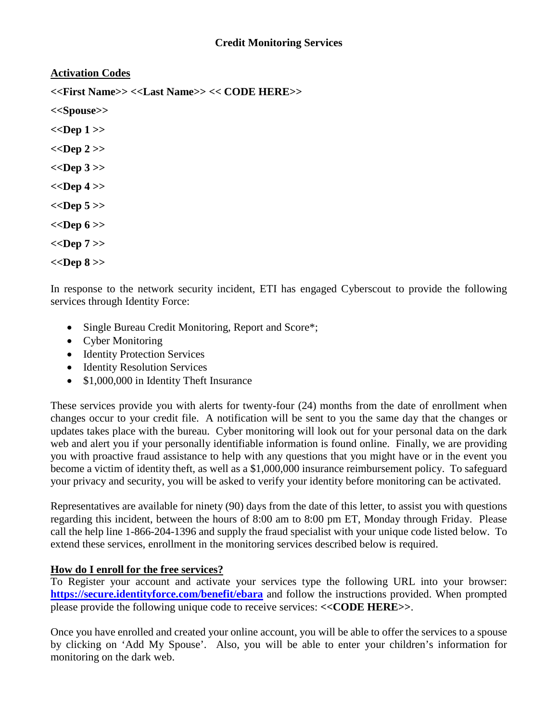**Activation Codes** 

**<<First Name>> <<Last Name>> << CODE HERE>>**

**<<Spouse>>** 

**<<Dep 1 >>** 

- **<<Dep 2 >>**
- **<<Dep 3 >>**
- **<<Dep 4 >>**
- **<<Dep 5 >>**

**<<Dep 6 >>** 

**<<Dep 7 >>** 

**<<Dep 8 >>** 

In response to the network security incident, ETI has engaged Cyberscout to provide the following services through Identity Force:

- Single Bureau Credit Monitoring, Report and Score\*;
- Cyber Monitoring
- Identity Protection Services
- Identity Resolution Services
- \$1,000,000 in Identity Theft Insurance

These services provide you with alerts for twenty-four (24) months from the date of enrollment when changes occur to your credit file. A notification will be sent to you the same day that the changes or updates takes place with the bureau. Cyber monitoring will look out for your personal data on the dark web and alert you if your personally identifiable information is found online. Finally, we are providing you with proactive fraud assistance to help with any questions that you might have or in the event you become a victim of identity theft, as well as a \$1,000,000 insurance reimbursement policy. To safeguard your privacy and security, you will be asked to verify your identity before monitoring can be activated.

Representatives are available for ninety (90) days from the date of this letter, to assist you with questions regarding this incident, between the hours of 8:00 am to 8:00 pm ET, Monday through Friday. Please call the help line 1-866-204-1396 and supply the fraud specialist with your unique code listed below. To extend these services, enrollment in the monitoring services described below is required.

# **How do I enroll for the free services?**

To Register your account and activate your services type the following URL into your browser: **<https://secure.identityforce.com/benefit/ebara>** and follow the instructions provided. When prompted please provide the following unique code to receive services: **<<CODE HERE>>**.

Once you have enrolled and created your online account, you will be able to offer the services to a spouse by clicking on 'Add My Spouse'. Also, you will be able to enter your children's information for monitoring on the dark web.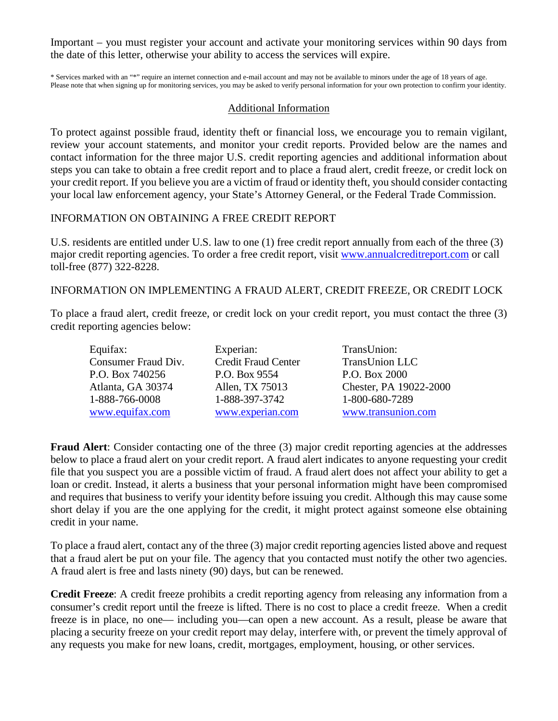Important – you must register your account and activate your monitoring services within 90 days from the date of this letter, otherwise your ability to access the services will expire.

\* Services marked with an "\*" require an internet connection and e-mail account and may not be available to minors under the age of 18 years of age. Please note that when signing up for monitoring services, you may be asked to verify personal information for your own protection to confirm your identity.

#### Additional Information

To protect against possible fraud, identity theft or financial loss, we encourage you to remain vigilant, review your account statements, and monitor your credit reports. Provided below are the names and contact information for the three major U.S. credit reporting agencies and additional information about steps you can take to obtain a free credit report and to place a fraud alert, credit freeze, or credit lock on your credit report. If you believe you are a victim of fraud or identity theft, you should consider contacting your local law enforcement agency, your State's Attorney General, or the Federal Trade Commission.

### INFORMATION ON OBTAINING A FREE CREDIT REPORT

U.S. residents are entitled under U.S. law to one (1) free credit report annually from each of the three (3) major credit reporting agencies. To order a free credit report, visit [www.annualcreditreport.com](http://www.annualcreditreport.com/) or call toll-free (877) 322-8228.

## INFORMATION ON IMPLEMENTING A FRAUD ALERT, CREDIT FREEZE, OR CREDIT LOCK

To place a fraud alert, credit freeze, or credit lock on your credit report, you must contact the three (3) credit reporting agencies below:

| Equifax:            | Experian:                  | TransUnion:            |
|---------------------|----------------------------|------------------------|
| Consumer Fraud Div. | <b>Credit Fraud Center</b> | <b>TransUnion LLC</b>  |
| P.O. Box 740256     | P.O. Box 9554              | P.O. Box 2000          |
| Atlanta, GA 30374   | Allen, TX 75013            | Chester, PA 19022-2000 |
| 1-888-766-0008      | 1-888-397-3742             | 1-800-680-7289         |
| www.equifax.com     | www.experian.com           | www.transunion.com     |

**Fraud Alert**: Consider contacting one of the three (3) major credit reporting agencies at the addresses below to place a fraud alert on your credit report. A fraud alert indicates to anyone requesting your credit file that you suspect you are a possible victim of fraud. A fraud alert does not affect your ability to get a loan or credit. Instead, it alerts a business that your personal information might have been compromised and requires that business to verify your identity before issuing you credit. Although this may cause some short delay if you are the one applying for the credit, it might protect against someone else obtaining credit in your name.

To place a fraud alert, contact any of the three (3) major credit reporting agencies listed above and request that a fraud alert be put on your file. The agency that you contacted must notify the other two agencies. A fraud alert is free and lasts ninety (90) days, but can be renewed.

**Credit Freeze**: A credit freeze prohibits a credit reporting agency from releasing any information from a consumer's credit report until the freeze is lifted. There is no cost to place a credit freeze. When a credit freeze is in place, no one— including you—can open a new account. As a result, please be aware that placing a security freeze on your credit report may delay, interfere with, or prevent the timely approval of any requests you make for new loans, credit, mortgages, employment, housing, or other services.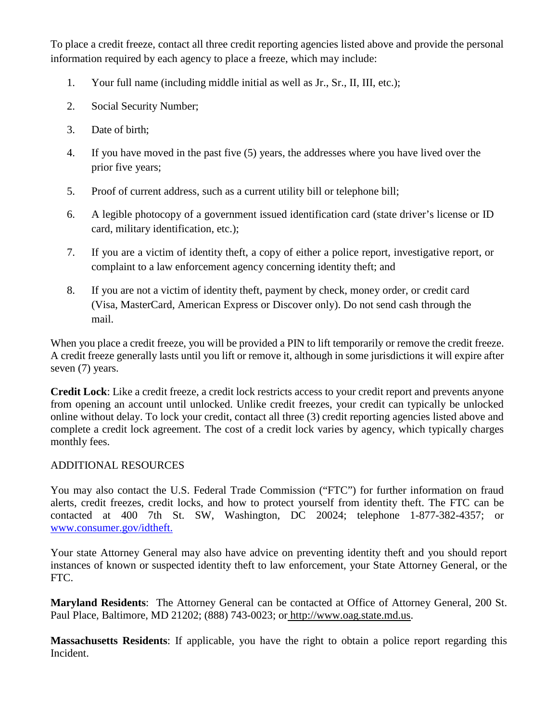To place a credit freeze, contact all three credit reporting agencies listed above and provide the personal information required by each agency to place a freeze, which may include:

- 1. Your full name (including middle initial as well as Jr., Sr., II, III, etc.);
- 2. Social Security Number;
- 3. Date of birth;
- 4. If you have moved in the past five (5) years, the addresses where you have lived over the prior five years;
- 5. Proof of current address, such as a current utility bill or telephone bill;
- 6. A legible photocopy of a government issued identification card (state driver's license or ID card, military identification, etc.);
- 7. If you are a victim of identity theft, a copy of either a police report, investigative report, or complaint to a law enforcement agency concerning identity theft; and
- 8. If you are not a victim of identity theft, payment by check, money order, or credit card (Visa, MasterCard, American Express or Discover only). Do not send cash through the mail.

When you place a credit freeze, you will be provided a PIN to lift temporarily or remove the credit freeze. A credit freeze generally lasts until you lift or remove it, although in some jurisdictions it will expire after seven (7) years.

**Credit Lock**: Like a credit freeze, a credit lock restricts access to your credit report and prevents anyone from opening an account until unlocked. Unlike credit freezes, your credit can typically be unlocked online without delay. To lock your credit, contact all three (3) credit reporting agencies listed above and complete a credit lock agreement. The cost of a credit lock varies by agency, which typically charges monthly fees.

# ADDITIONAL RESOURCES

You may also contact the U.S. Federal Trade Commission ("FTC") for further information on fraud alerts, credit freezes, credit locks, and how to protect yourself from identity theft. The FTC can be contacted at 400 7th St. SW, Washington, DC 20024; telephone 1-877-382-4357; or [www.consumer.gov/idtheft.](http://www.consumer.gov/idtheft.)

Your state Attorney General may also have advice on preventing identity theft and you should report instances of known or suspected identity theft to law enforcement, your State Attorney General, or the FTC.

**Maryland Residents**: The Attorney General can be contacted at Office of Attorney General, 200 St. Paul Place, Baltimore, MD 21202; (888) 743-0023; or [http://www.oag.state.md.us.](http://www.oag.state.md.us/)

**Massachusetts Residents**: If applicable, you have the right to obtain a police report regarding this Incident.